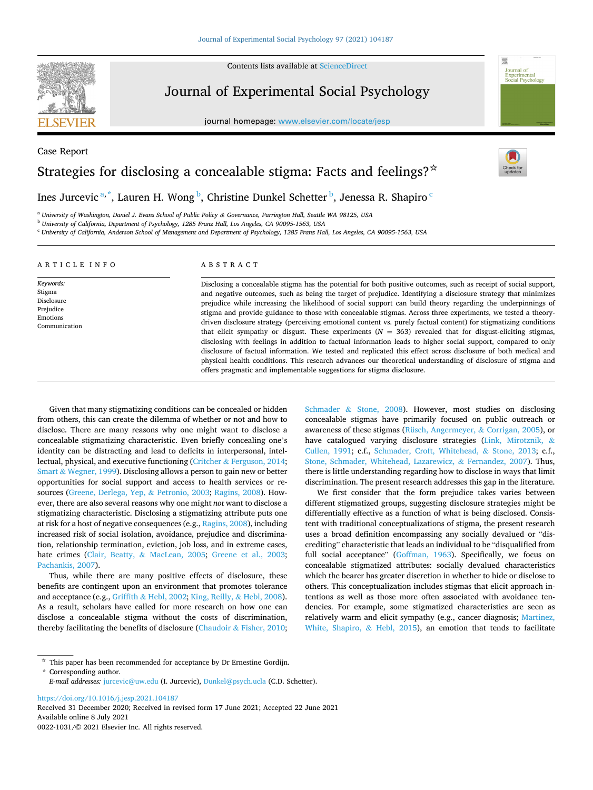Contents lists available at [ScienceDirect](www.sciencedirect.com/science/journal/00221031)



Case Report

# Journal of Experimental Social Psychology

journal homepage: [www.elsevier.com/locate/jesp](https://www.elsevier.com/locate/jesp)



# Strategies for disclosing a concealable stigma: Facts and feelings?  $\star$

# Ines Jurcevic <sup>a, \*</sup>, Lauren H. Wong <sup>b</sup>, Christine Dunkel Schetter <sup>b</sup>, Jenessa R. Shapiro <sup>c</sup>

<sup>a</sup> *University of Washington, Daniel J. Evans School of Public Policy & Governance, Parrington Hall, Seattle WA 98125, USA* 

<sup>b</sup> *University of California, Department of Psychology, 1285 Franz Hall, Los Angeles, CA 90095-1563, USA* 

<sup>c</sup> *University of California, Anderson School of Management and Department of Psychology, 1285 Franz Hall, Los Angeles, CA 90095-1563, USA* 

| ARTICLE INFO                                                                | ABSTRACT                                                                                                                                                                                                                                                                                                                                                                                                                                                                                                                                                                                                                                                                                                                                                                                                                                                                                                                                                                                                                                                                                                                       |  |  |  |
|-----------------------------------------------------------------------------|--------------------------------------------------------------------------------------------------------------------------------------------------------------------------------------------------------------------------------------------------------------------------------------------------------------------------------------------------------------------------------------------------------------------------------------------------------------------------------------------------------------------------------------------------------------------------------------------------------------------------------------------------------------------------------------------------------------------------------------------------------------------------------------------------------------------------------------------------------------------------------------------------------------------------------------------------------------------------------------------------------------------------------------------------------------------------------------------------------------------------------|--|--|--|
| Keywords:<br>Stigma<br>Disclosure<br>Prejudice<br>Emotions<br>Communication | Disclosing a concealable stigma has the potential for both positive outcomes, such as receipt of social support,<br>and negative outcomes, such as being the target of prejudice. Identifying a disclosure strategy that minimizes<br>prejudice while increasing the likelihood of social support can build theory regarding the underpinnings of<br>stigma and provide guidance to those with concealable stigmas. Across three experiments, we tested a theory-<br>driven disclosure strategy (perceiving emotional content vs. purely factual content) for stigmatizing conditions<br>that elicit sympathy or disgust. These experiments $(N = 363)$ revealed that for disgust-eliciting stigmas,<br>disclosing with feelings in addition to factual information leads to higher social support, compared to only<br>disclosure of factual information. We tested and replicated this effect across disclosure of both medical and<br>physical health conditions. This research advances our theoretical understanding of disclosure of stigma and<br>offers pragmatic and implementable suggestions for stigma disclosure. |  |  |  |

Given that many stigmatizing conditions can be concealed or hidden from others, this can create the dilemma of whether or not and how to disclose. There are many reasons why one might want to disclose a concealable stigmatizing characteristic. Even briefly concealing one's identity can be distracting and lead to deficits in interpersonal, intellectual, physical, and executive functioning (Critcher & [Ferguson, 2014](#page-6-0); Smart & [Wegner, 1999\)](#page-7-0). Disclosing allows a person to gain new or better opportunities for social support and access to health services or resources [\(Greene, Derlega, Yep,](#page-6-0) & Petronio, 2003; [Ragins, 2008\)](#page-6-0). However, there are also several reasons why one might *not* want to disclose a stigmatizing characteristic. Disclosing a stigmatizing attribute puts one at risk for a host of negative consequences (e.g., [Ragins, 2008\)](#page-6-0), including increased risk of social isolation, avoidance, prejudice and discrimination, relationship termination, eviction, job loss, and in extreme cases, hate crimes (Clair, Beatty, & [MacLean, 2005;](#page-6-0) [Greene et al., 2003](#page-6-0); [Pachankis, 2007\)](#page-6-0).

Thus, while there are many positive effects of disclosure, these benefits are contingent upon an environment that promotes tolerance and acceptance (e.g., Griffith & [Hebl, 2002; King, Reilly,](#page-6-0) & Hebl, 2008). As a result, scholars have called for more research on how one can disclose a concealable stigma without the costs of discrimination, thereby facilitating the benefits of disclosure (Chaudoir & [Fisher, 2010](#page-6-0); Schmader & [Stone, 2008\)](#page-6-0). However, most studies on disclosing concealable stigmas have primarily focused on public outreach or awareness of these stigmas [\(Rüsch, Angermeyer,](#page-6-0) & Corrigan, 2005), or have catalogued varying disclosure strategies ([Link, Mirotznik,](#page-6-0) & [Cullen, 1991](#page-6-0); c.f., [Schmader, Croft, Whitehead,](#page-6-0) & Stone, 2013; c.f., [Stone, Schmader, Whitehead, Lazarewicz,](#page-7-0) & Fernandez, 2007). Thus, there is little understanding regarding how to disclose in ways that limit discrimination. The present research addresses this gap in the literature.

We first consider that the form prejudice takes varies between different stigmatized groups, suggesting disclosure strategies might be differentially effective as a function of what is being disclosed. Consistent with traditional conceptualizations of stigma, the present research uses a broad definition encompassing any socially devalued or "discrediting" characteristic that leads an individual to be "disqualified from full social acceptance" [\(Goffman, 1963](#page-6-0)). Specifically, we focus on concealable stigmatized attributes: socially devalued characteristics which the bearer has greater discretion in whether to hide or disclose to others. This conceptualization includes stigmas that elicit approach intentions as well as those more often associated with avoidance tendencies. For example, some stigmatized characteristics are seen as relatively warm and elicit sympathy (e.g., cancer diagnosis; [Martinez,](#page-6-0)  [White, Shapiro,](#page-6-0) & Hebl, 2015), an emotion that tends to facilitate

<https://doi.org/10.1016/j.jesp.2021.104187>

 $^\star\,$  This paper has been recommended for acceptance by Dr Ernestine Gordijn.

<sup>\*</sup> Corresponding author.

*E-mail addresses:* [jurcevic@uw.edu](mailto:jurcevic@uw.edu) (I. Jurcevic), [Dunkel@psych.ucla](mailto:Dunkel@psych.ucla) (C.D. Schetter).

Available online 8 July 2021 0022-1031/© 2021 Elsevier Inc. All rights reserved. Received 31 December 2020; Received in revised form 17 June 2021; Accepted 22 June 2021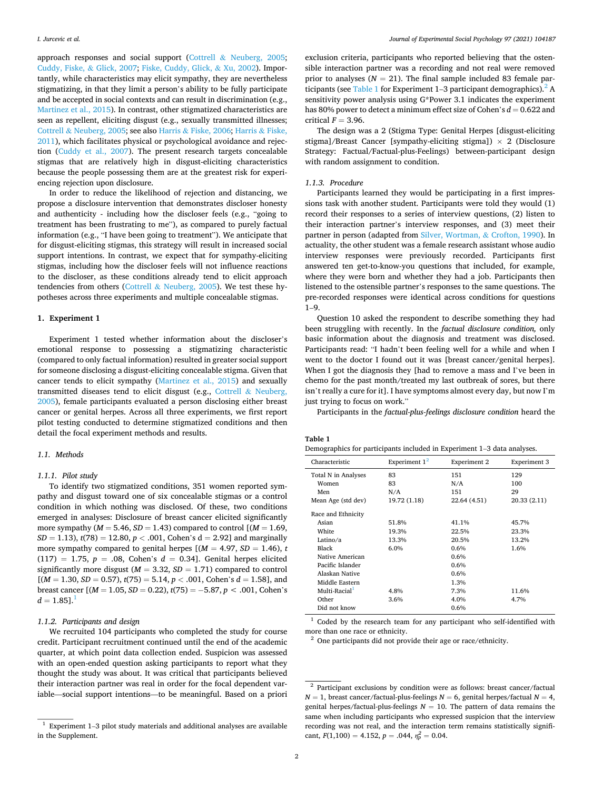approach responses and social support (Cottrell & [Neuberg, 2005](#page-6-0); [Cuddy, Fiske,](#page-6-0) & Glick, 2007; [Fiske, Cuddy, Glick,](#page-6-0) & Xu, 2002). Importantly, while characteristics may elicit sympathy, they are nevertheless stigmatizing, in that they limit a person's ability to be fully participate and be accepted in social contexts and can result in discrimination (e.g., [Martinez et al., 2015](#page-6-0)). In contrast, other stigmatized characteristics are seen as repellent, eliciting disgust (e.g., sexually transmitted illnesses; Cottrell & [Neuberg, 2005](#page-6-0); see also Harris & [Fiske, 2006](#page-6-0); [Harris](#page-6-0) & Fiske, [2011\)](#page-6-0), which facilitates physical or psychological avoidance and rejection ([Cuddy et al., 2007](#page-6-0)). The present research targets concealable stigmas that are relatively high in disgust-eliciting characteristics because the people possessing them are at the greatest risk for experiencing rejection upon disclosure.

In order to reduce the likelihood of rejection and distancing, we propose a disclosure intervention that demonstrates discloser honesty and authenticity - including how the discloser feels (e.g., "going to treatment has been frustrating to me"), as compared to purely factual information (e.g., "I have been going to treatment"). We anticipate that for disgust-eliciting stigmas, this strategy will result in increased social support intentions. In contrast, we expect that for sympathy-eliciting stigmas, including how the discloser feels will not influence reactions to the discloser, as these conditions already tend to elicit approach tendencies from others (Cottrell  $&$  [Neuberg, 2005\)](#page-6-0). We test these hypotheses across three experiments and multiple concealable stigmas.

# **1. Experiment 1**

Experiment 1 tested whether information about the discloser's emotional response to possessing a stigmatizing characteristic (compared to only factual information) resulted in greater social support for someone disclosing a disgust-eliciting concealable stigma. Given that cancer tends to elicit sympathy [\(Martinez et al., 2015\)](#page-6-0) and sexually transmitted diseases tend to elicit disgust (e.g., Cottrell & [Neuberg,](#page-6-0)  [2005\)](#page-6-0), female participants evaluated a person disclosing either breast cancer or genital herpes. Across all three experiments, we first report pilot testing conducted to determine stigmatized conditions and then detail the focal experiment methods and results.

#### *1.1. Methods*

#### *1.1.1. Pilot study*

To identify two stigmatized conditions, 351 women reported sympathy and disgust toward one of six concealable stigmas or a control condition in which nothing was disclosed. Of these, two conditions emerged in analyses: Disclosure of breast cancer elicited significantly more sympathy ( $M = 5.46$ ,  $SD = 1.43$ ) compared to control [ $(M = 1.69)$ , *SD* = 1.13), *t*(78) = 12.80, *p <* .001, Cohen's d = 2.92] and marginally more sympathy compared to genital herpes  $[(M = 4.97, SD = 1.46), t$  $(117) = 1.75, p = .08, Cohen's d = 0.34.$  Genital herpes elicited significantly more disgust  $(M = 3.32, SD = 1.71)$  compared to control  $[(M = 1.30, SD = 0.57), t(75) = 5.14, p < .001, Cohen's d = 1.58],$  and breast cancer  $[(M = 1.05, SD = 0.22), t(75) = -5.87, p < .001, Cohen's$  $d = 1.85$ ].<sup>1</sup>

# *1.1.2. Participants and design*

We recruited 104 participants who completed the study for course credit. Participant recruitment continued until the end of the academic quarter, at which point data collection ended. Suspicion was assessed with an open-ended question asking participants to report what they thought the study was about. It was critical that participants believed their interaction partner was real in order for the focal dependent variable—social support intentions—to be meaningful. Based on a priori

exclusion criteria, participants who reported believing that the ostensible interaction partner was a recording and not real were removed prior to analyses  $(N = 21)$ . The final sample included 83 female participants (see Table 1 for Experiment 1–3 participant demographics). $^2$  A sensitivity power analysis using G\*Power 3.1 indicates the experiment has 80% power to detect a minimum effect size of Cohen's  $d = 0.622$  and critical  $F = 3.96$ .

The design was a 2 (Stigma Type: Genital Herpes [disgust-eliciting stigma]/Breast Cancer [sympathy-eliciting stigma])  $\times$  2 (Disclosure Strategy: Factual/Factual-plus-Feelings) between-participant design with random assignment to condition.

## *1.1.3. Procedure*

Participants learned they would be participating in a first impressions task with another student. Participants were told they would (1) record their responses to a series of interview questions, (2) listen to their interaction partner's interview responses, and (3) meet their partner in person (adapted from [Silver, Wortman,](#page-7-0) & Crofton, 1990). In actuality, the other student was a female research assistant whose audio interview responses were previously recorded. Participants first answered ten get-to-know-you questions that included, for example, where they were born and whether they had a job. Participants then listened to the ostensible partner's responses to the same questions. The pre-recorded responses were identical across conditions for questions  $1 - 9$ 

Question 10 asked the respondent to describe something they had been struggling with recently. In the *factual disclosure condition,* only basic information about the diagnosis and treatment was disclosed. Participants read: "I hadn't been feeling well for a while and when I went to the doctor I found out it was [breast cancer/genital herpes]. When I got the diagnosis they [had to remove a mass and I've been in chemo for the past month/treated my last outbreak of sores, but there isn't really a cure for it]. I have symptoms almost every day, but now I'm just trying to focus on work."

Participants in the *factual-plus-feelings disclosure condition* heard the

#### **Table 1**

|  |  |  |  | Demographics for participants included in Experiment 1-3 data analyses. |
|--|--|--|--|-------------------------------------------------------------------------|
|--|--|--|--|-------------------------------------------------------------------------|

| Characteristic      | Experiment $1^2$ | Experiment 2 | Experiment 3 |
|---------------------|------------------|--------------|--------------|
| Total N in Analyses | 83               | 151          | 129          |
| Women               | 83               | N/A          | 100          |
| Men                 | N/A              | 151          | 29           |
| Mean Age (std dev)  | 19.72 (1.18)     | 22.64 (4.51) | 20.33 (2.11) |
| Race and Ethnicity  |                  |              |              |
| Asian               | 51.8%            | 41.1%        | 45.7%        |
| White               | 19.3%            | 22.5%        | 23.3%        |
| Latino/a            | 13.3%            | 20.5%        | 13.2%        |
| Black               | 6.0%             | 0.6%         | 1.6%         |
| Native American     |                  | 0.6%         |              |
| Pacific Islander    |                  | 0.6%         |              |
| Alaskan Native      |                  | 0.6%         |              |
| Middle Eastern      |                  | 1.3%         |              |
| $Multi-Racial1$     | 4.8%             | 7.3%         | 11.6%        |
| Other               | 3.6%             | 4.0%         | 4.7%         |
| Did not know        |                  | 0.6%         |              |

 $1$  Coded by the research team for any participant who self-identified with more than one race or ethnicity.<br><sup>2</sup> One participants did not provide their age or race/ethnicity.

 $^{\rm 1}$  Experiment 1–3 pilot study materials and additional analyses are available in the Supplement.

<sup>&</sup>lt;sup>2</sup> Participant exclusions by condition were as follows: breast cancer/factual  $N = 1$ , breast cancer/factual-plus-feelings  $N = 6$ , genital herpes/factual  $N = 4$ , genital herpes/factual-plus-feelings  $N = 10$ . The pattern of data remains the same when including participants who expressed suspicion that the interview recording was not real, and the interaction term remains statistically significant,  $F(1,100) = 4.152$ ,  $p = .044$ ,  $\eta_p^2 = 0.04$ .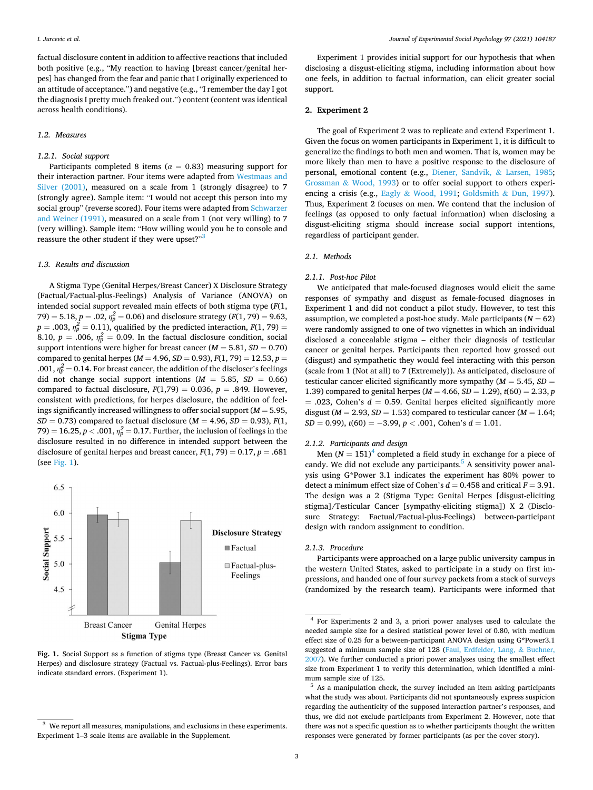factual disclosure content in addition to affective reactions that included both positive (e.g., "My reaction to having [breast cancer/genital herpes] has changed from the fear and panic that I originally experienced to an attitude of acceptance.") and negative (e.g., "I remember the day I got the diagnosis I pretty much freaked out.") content (content was identical across health conditions).

#### *1.2. Measures*

#### *1.2.1. Social support*

Participants completed 8 items ( $\alpha = 0.83$ ) measuring support for their interaction partner. Four items were adapted from [Westmaas and](#page-7-0)  [Silver \(2001\),](#page-7-0) measured on a scale from 1 (strongly disagree) to 7 (strongly agree). Sample item: "I would not accept this person into my social group" (reverse scored). Four items were adapted from [Schwarzer](#page-6-0)  [and Weiner \(1991\),](#page-6-0) measured on a scale from 1 (not very willing) to 7 (very willing). Sample item: "How willing would you be to console and reassure the other student if they were upset?"<sup>3</sup>

# *1.3. Results and discussion*

A Stigma Type (Genital Herpes/Breast Cancer) X Disclosure Strategy (Factual/Factual-plus-Feelings) Analysis of Variance (ANOVA) on intended social support revealed main effects of both stigma type (*F*(1,  $(79) = 5.18, p = .02, \eta_p^2 = 0.06$ ) and disclosure strategy ( $F(1, 79) = 9.63, p = 0.02$  $p = .003$ ,  $\eta_p^2 = 0.11$ ), qualified by the predicted interaction,  $F(1, 79) =$ 8.10,  $p = .006$ ,  $\eta_p^2 = 0.09$ . In the factual disclosure condition, social support intentions were higher for breast cancer (*M* = 5.81, *SD* = 0.70) compared to genital herpes (*M* = 4.96, *SD* = 0.93), *F*(1, 79) = 12.53, *p* = .001,  $\eta_p^2$  = 0.14. For breast cancer, the addition of the discloser's feelings did not change social support intentions  $(M = 5.85, SD = 0.66)$ compared to factual disclosure,  $F(1,79) = 0.036$ ,  $p = .849$ . However, consistent with predictions, for herpes disclosure, the addition of feelings significantly increased willingness to offer social support (*M* = 5.95, *SD* = 0.73) compared to factual disclosure (*M* = 4.96, *SD* = 0.93), *F*(1, 79) = 16.25,  $p < .001$ ,  $\eta_p^2 = 0.17$ . Further, the inclusion of feelings in the disclosure resulted in no difference in intended support between the disclosure of genital herpes and breast cancer,  $F(1, 79) = 0.17$ ,  $p = .681$ (see Fig. 1).



**Fig. 1.** Social Support as a function of stigma type (Breast Cancer vs. Genital Herpes) and disclosure strategy (Factual vs. Factual-plus-Feelings). Error bars indicate standard errors. (Experiment 1).

Experiment 1 provides initial support for our hypothesis that when disclosing a disgust-eliciting stigma, including information about how one feels, in addition to factual information, can elicit greater social support.

# **2. Experiment 2**

The goal of Experiment 2 was to replicate and extend Experiment 1. Given the focus on women participants in Experiment 1, it is difficult to generalize the findings to both men and women. That is, women may be more likely than men to have a positive response to the disclosure of personal, emotional content (e.g., [Diener, Sandvik,](#page-6-0) & Larsen, 1985; Grossman & [Wood, 1993\)](#page-6-0) or to offer social support to others experiencing a crisis (e.g., Eagly & [Wood, 1991](#page-6-0); [Goldsmith](#page-6-0) & Dun, 1997). Thus, Experiment 2 focuses on men. We contend that the inclusion of feelings (as opposed to only factual information) when disclosing a disgust-eliciting stigma should increase social support intentions, regardless of participant gender.

# *2.1. Methods*

#### *2.1.1. Post-hoc Pilot*

We anticipated that male-focused diagnoses would elicit the same responses of sympathy and disgust as female-focused diagnoses in Experiment 1 and did not conduct a pilot study. However, to test this assumption, we completed a post-hoc study. Male participants  $(N = 62)$ were randomly assigned to one of two vignettes in which an individual disclosed a concealable stigma – either their diagnosis of testicular cancer or genital herpes. Participants then reported how grossed out (disgust) and sympathetic they would feel interacting with this person (scale from 1 (Not at all) to 7 (Extremely)). As anticipated, disclosure of testicular cancer elicited significantly more sympathy (*M* = 5.45, *SD* = 1.39) compared to genital herpes (*M* = 4.66, *SD* = 1.29), *t*(60) = 2.33, *p*   $= .023$ , Cohen's  $d = 0.59$ . Genital herpes elicited significantly more disgust ( $M = 2.93$ ,  $SD = 1.53$ ) compared to testicular cancer ( $M = 1.64$ ;  $SD = 0.99$ ,  $t(60) = -3.99$ ,  $p < .001$ , Cohen's  $d = 1.01$ .

#### *2.1.2. Participants and design*

Men  $(N = 151)^4$  completed a field study in exchange for a piece of candy. We did not exclude any participants.<sup>5</sup> A sensitivity power analysis using G\*Power 3.1 indicates the experiment has 80% power to detect a minimum effect size of Cohen's  $d = 0.458$  and critical  $F = 3.91$ . The design was a 2 (Stigma Type: Genital Herpes [disgust-eliciting stigma]/Testicular Cancer [sympathy-eliciting stigma]) X 2 (Disclosure Strategy: Factual/Factual-plus-Feelings) between-participant design with random assignment to condition.

# *2.1.3. Procedure*

Participants were approached on a large public university campus in the western United States, asked to participate in a study on first impressions, and handed one of four survey packets from a stack of surveys (randomized by the research team). Participants were informed that

 $^3\,$  We report all measures, manipulations, and exclusions in these experiments. Experiment 1–3 scale items are available in the Supplement.

<sup>4</sup> For Experiments 2 and 3, a priori power analyses used to calculate the needed sample size for a desired statistical power level of 0.80, with medium effect size of 0.25 for a between-participant ANOVA design using G\*Power3.1 suggested a minimum sample size of 128 ([Faul, Erdfelder, Lang,](#page-6-0) & Buchner, [2007\)](#page-6-0). We further conducted a priori power analyses using the smallest effect size from Experiment 1 to verify this determination, which identified a minimum sample size of 125.<br> $\frac{5}{10}$  As a manipulation check, the survey included an item asking participants

what the study was about. Participants did not spontaneously express suspicion regarding the authenticity of the supposed interaction partner's responses, and thus, we did not exclude participants from Experiment 2. However, note that there was not a specific question as to whether participants thought the written responses were generated by former participants (as per the cover story).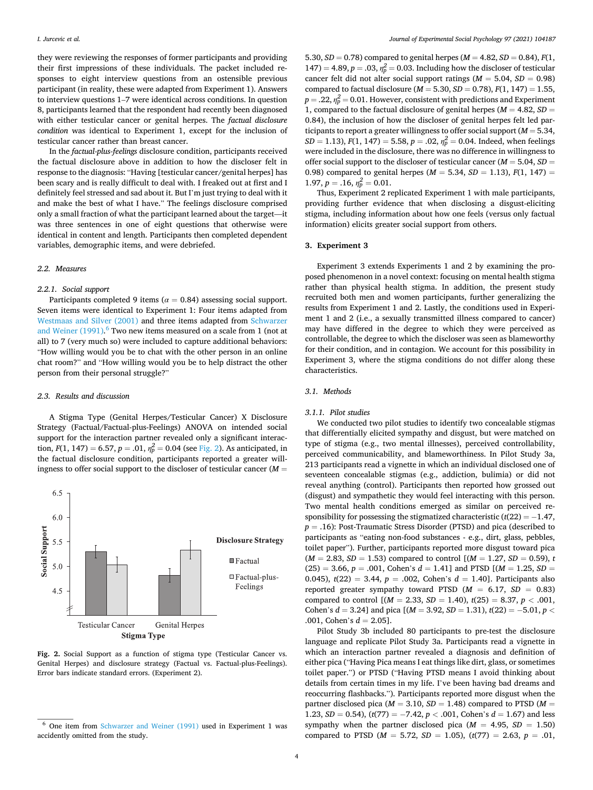they were reviewing the responses of former participants and providing their first impressions of these individuals. The packet included responses to eight interview questions from an ostensible previous participant (in reality, these were adapted from Experiment 1). Answers to interview questions 1–7 were identical across conditions. In question 8, participants learned that the respondent had recently been diagnosed with either testicular cancer or genital herpes. The *factual disclosure condition* was identical to Experiment 1, except for the inclusion of testicular cancer rather than breast cancer.

In the *factual-plus-feelings* disclosure condition, participants received the factual disclosure above in addition to how the discloser felt in response to the diagnosis: "Having [testicular cancer/genital herpes] has been scary and is really difficult to deal with. I freaked out at first and I definitely feel stressed and sad about it. But I'm just trying to deal with it and make the best of what I have." The feelings disclosure comprised only a small fraction of what the participant learned about the target—it was three sentences in one of eight questions that otherwise were identical in content and length. Participants then completed dependent variables, demographic items, and were debriefed.

# *2.2. Measures*

#### *2.2.1. Social support*

Participants completed 9 items ( $\alpha$  = 0.84) assessing social support. Seven items were identical to Experiment 1: Four items adapted from [Westmaas and Silver \(2001\)](#page-7-0) and three items adapted from [Schwarzer](#page-6-0)  and Weiner  $(1991)$ .<sup>6</sup> Two new items measured on a scale from 1 (not at all) to 7 (very much so) were included to capture additional behaviors: "How willing would you be to chat with the other person in an online chat room?" and "How willing would you be to help distract the other person from their personal struggle?"

#### *2.3. Results and discussion*

A Stigma Type (Genital Herpes/Testicular Cancer) X Disclosure Strategy (Factual/Factual-plus-Feelings) ANOVA on intended social support for the interaction partner revealed only a significant interaction,  $F(1, 147) = 6.57$ ,  $p = .01$ ,  $\eta_p^2 = 0.04$  (see Fig. 2). As anticipated, in the factual disclosure condition, participants reported a greater willingness to offer social support to the discloser of testicular cancer (*M* =



**Fig. 2.** Social Support as a function of stigma type (Testicular Cancer vs. Genital Herpes) and disclosure strategy (Factual vs. Factual-plus-Feelings). Error bars indicate standard errors. (Experiment 2).

5.30,  $SD = 0.78$ ) compared to genital herpes ( $M = 4.82$ ,  $SD = 0.84$ ),  $F(1, 1)$ 147) = 4.89,  $p = .03$ ,  $\eta_p^2 = 0.03$ . Including how the discloser of testicular cancer felt did not alter social support ratings  $(M = 5.04, SD = 0.98)$ compared to factual disclosure (*M* = 5.30, *SD* = 0.78), *F*(1, 147) = 1.55,  $p = .22$ ,  $\eta_p^2 = 0.01$ . However, consistent with predictions and Experiment 1, compared to the factual disclosure of genital herpes  $(M = 4.82, SD =$ 0.84), the inclusion of how the discloser of genital herpes felt led participants to report a greater willingness to offer social support (*M* = 5.34, *SD* = 1.13), *F*(1, 147) = 5.58, *p* = .02,  $\eta_p^2$  = 0.04. Indeed, when feelings were included in the disclosure, there was no difference in willingness to offer social support to the discloser of testicular cancer (*M* = 5.04, *SD* = 0.98) compared to genital herpes ( $M = 5.34$ ,  $SD = 1.13$ ),  $F(1, 147) =$  $1.97, p = .16, \eta_p^2 = 0.01.$ 

Thus, Experiment 2 replicated Experiment 1 with male participants, providing further evidence that when disclosing a disgust-eliciting stigma, including information about how one feels (versus only factual information) elicits greater social support from others.

#### **3. Experiment 3**

Experiment 3 extends Experiments 1 and 2 by examining the proposed phenomenon in a novel context: focusing on mental health stigma rather than physical health stigma. In addition, the present study recruited both men and women participants, further generalizing the results from Experiment 1 and 2. Lastly, the conditions used in Experiment 1 and 2 (i.e., a sexually transmitted illness compared to cancer) may have differed in the degree to which they were perceived as controllable, the degree to which the discloser was seen as blameworthy for their condition, and in contagion. We account for this possibility in Experiment 3, where the stigma conditions do not differ along these characteristics.

#### *3.1. Methods*

#### *3.1.1. Pilot studies*

We conducted two pilot studies to identify two concealable stigmas that differentially elicited sympathy and disgust, but were matched on type of stigma (e.g., two mental illnesses), perceived controllability, perceived communicability, and blameworthiness. In Pilot Study 3a, 213 participants read a vignette in which an individual disclosed one of seventeen concealable stigmas (e.g., addiction, bulimia) or did not reveal anything (control). Participants then reported how grossed out (disgust) and sympathetic they would feel interacting with this person. Two mental health conditions emerged as similar on perceived responsibility for possessing the stigmatized characteristic (*t*(22) = − 1.47, *p* = .16): Post-Traumatic Stress Disorder (PTSD) and pica (described to participants as "eating non-food substances - e.g., dirt, glass, pebbles, toilet paper"). Further, participants reported more disgust toward pica  $(M = 2.83, SD = 1.53)$  compared to control  $[(M = 1.27, SD = 0.59), t]$  $(25) = 3.66$ ,  $p = .001$ , Cohen's  $d = 1.41$ ] and PTSD  $[(M = 1.25, SD =$ 0.045),  $t(22) = 3.44$ ,  $p = .002$ , Cohen's  $d = 1.40$ . Participants also reported greater sympathy toward PTSD  $(M = 6.17, SD = 0.83)$ compared to control  $[(M = 2.33, SD = 1.40), t(25) = 8.37, p < .001,$ Cohen's *d* = 3.24] and pica [(*M* = 3.92, *SD* = 1.31), *t*(22) = − 5.01, *p <* .001, Cohen's  $d = 2.05$ ].

Pilot Study 3b included 80 participants to pre-test the disclosure language and replicate Pilot Study 3a. Participants read a vignette in which an interaction partner revealed a diagnosis and definition of either pica ("Having Pica means I eat things like dirt, glass, or sometimes toilet paper.") or PTSD ("Having PTSD means I avoid thinking about details from certain times in my life. I've been having bad dreams and reoccurring flashbacks."). Participants reported more disgust when the partner disclosed pica ( $M = 3.10$ ,  $SD = 1.48$ ) compared to PTSD ( $M =$ 1.23,  $SD = 0.54$ ),  $(t(77) = -7.42, p < .001$ , Cohen's  $d = 1.67$ ) and less sympathy when the partner disclosed pica  $(M = 4.95, SD = 1.50)$ compared to PTSD ( $M = 5.72$ ,  $SD = 1.05$ ), ( $t(77) = 2.63$ ,  $p = .01$ ,

<sup>6</sup> One item from [Schwarzer and Weiner \(1991\)](#page-6-0) used in Experiment 1 was accidently omitted from the study.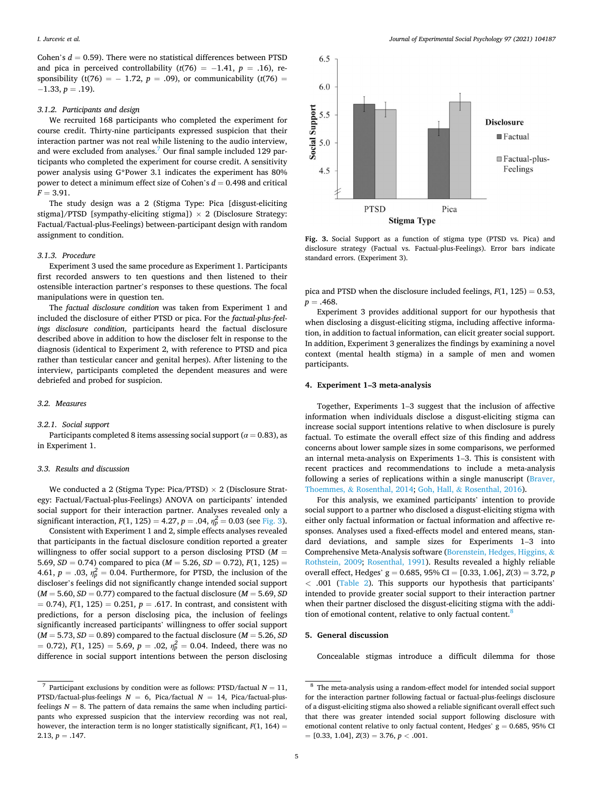Cohen's  $d = 0.59$ ). There were no statistical differences between PTSD and pica in perceived controllability  $(t(76) = -1.41, p = .16)$ , responsibility (t(76) =  $- 1.72$ ,  $p = .09$ ), or communicability (t(76) =  $-1.33, p = .19$ ).

#### *3.1.2. Participants and design*

We recruited 168 participants who completed the experiment for course credit. Thirty-nine participants expressed suspicion that their interaction partner was not real while listening to the audio interview, and were excluded from analyses.<sup>7</sup> Our final sample included 129 participants who completed the experiment for course credit. A sensitivity power analysis using G\*Power 3.1 indicates the experiment has 80% power to detect a minimum effect size of Cohen's *d* = 0.498 and critical  $F = 3.91$ .

The study design was a 2 (Stigma Type: Pica [disgust-eliciting stigma]/PTSD [sympathy-eliciting stigma])  $\times$  2 (Disclosure Strategy: Factual/Factual-plus-Feelings) between-participant design with random assignment to condition.

#### *3.1.3. Procedure*

Experiment 3 used the same procedure as Experiment 1. Participants first recorded answers to ten questions and then listened to their ostensible interaction partner's responses to these questions. The focal manipulations were in question ten.

The *factual disclosure condition* was taken from Experiment 1 and included the disclosure of either PTSD or pica. For the *factual-plus-feelings disclosure condition*, participants heard the factual disclosure described above in addition to how the discloser felt in response to the diagnosis (identical to Experiment 2, with reference to PTSD and pica rather than testicular cancer and genital herpes). After listening to the interview, participants completed the dependent measures and were debriefed and probed for suspicion.

#### *3.2. Measures*

#### *3.2.1. Social support*

Participants completed 8 items assessing social support ( $\alpha$  = 0.83), as in Experiment 1.

#### *3.3. Results and discussion*

We conducted a 2 (Stigma Type: Pica/PTSD)  $\times$  2 (Disclosure Strategy: Factual/Factual-plus-Feelings) ANOVA on participants' intended social support for their interaction partner. Analyses revealed only a significant interaction,  $F(1, 125) = 4.27$ ,  $p = .04$ ,  $\eta_p^2 = 0.03$  (see Fig. 3).

Consistent with Experiment 1 and 2, simple effects analyses revealed that participants in the factual disclosure condition reported a greater willingness to offer social support to a person disclosing PTSD (*M* = 5.69,  $SD = 0.74$ ) compared to pica ( $M = 5.26$ ,  $SD = 0.72$ ),  $F(1, 125) =$ 4.61,  $p = .03$ ,  $\eta_p^2 = 0.04$ . Furthermore, for PTSD, the inclusion of the discloser's feelings did not significantly change intended social support  $(M = 5.60, SD = 0.77)$  compared to the factual disclosure  $(M = 5.69, SD)$  $= 0.74$ ,  $F(1, 125) = 0.251$ ,  $p = .617$ . In contrast, and consistent with predictions, for a person disclosing pica, the inclusion of feelings significantly increased participants' willingness to offer social support  $(M = 5.73, SD = 0.89)$  compared to the factual disclosure  $(M = 5.26, SD)$  $= 0.72$ ),  $F(1, 125) = 5.69$ ,  $p = .02$ ,  $\eta_p^2 = 0.04$ . Indeed, there was no difference in social support intentions between the person disclosing



**Fig. 3.** Social Support as a function of stigma type (PTSD vs. Pica) and disclosure strategy (Factual vs. Factual-plus-Feelings). Error bars indicate standard errors. (Experiment 3).

pica and PTSD when the disclosure included feelings,  $F(1, 125) = 0.53$ ,  $p = .468$ .

Experiment 3 provides additional support for our hypothesis that when disclosing a disgust-eliciting stigma, including affective information, in addition to factual information, can elicit greater social support. In addition, Experiment 3 generalizes the findings by examining a novel context (mental health stigma) in a sample of men and women participants.

# **4. Experiment 1–3 meta-analysis**

Together, Experiments 1–3 suggest that the inclusion of affective information when individuals disclose a disgust-eliciting stigma can increase social support intentions relative to when disclosure is purely factual. To estimate the overall effect size of this finding and address concerns about lower sample sizes in some comparisons, we performed an internal meta-analysis on Experiments 1–3. This is consistent with recent practices and recommendations to include a meta-analysis following a series of replications within a single manuscript [\(Braver,](#page-6-0)  Thoemmes, & [Rosenthal, 2014](#page-6-0); Goh, Hall, & [Rosenthal, 2016](#page-6-0)).

For this analysis, we examined participants' intention to provide social support to a partner who disclosed a disgust-eliciting stigma with either only factual information or factual information and affective responses. Analyses used a fixed-effects model and entered means, standard deviations, and sample sizes for Experiments 1–3 into Comprehensive Meta-Analysis software [\(Borenstein, Hedges, Higgins,](#page-6-0) & [Rothstein, 2009;](#page-6-0) [Rosenthal, 1991\)](#page-6-0). Results revealed a highly reliable overall effect, Hedges' g = 0.685, 95% CI = [0.33, 1.06], *Z*(3) = 3.72, *p <* .001 [\(Table 2](#page-5-0)). This supports our hypothesis that participants' intended to provide greater social support to their interaction partner when their partner disclosed the disgust-eliciting stigma with the addition of emotional content, relative to only factual content.<sup>8</sup>

## **5. General discussion**

Concealable stigmas introduce a difficult dilemma for those

<sup>&</sup>lt;sup>7</sup> Participant exclusions by condition were as follows: PTSD/factual  $N = 11$ , PTSD/factual-plus-feelings  $N = 6$ , Pica/factual  $N = 14$ , Pica/factual-plusfeelings  $N = 8$ . The pattern of data remains the same when including participants who expressed suspicion that the interview recording was not real, however, the interaction term is no longer statistically significant,  $F(1, 164) =$ 2.13,  $p = .147$ .

<sup>&</sup>lt;sup>8</sup> The meta-analysis using a random-effect model for intended social support for the interaction partner following factual or factual-plus-feelings disclosure of a disgust-eliciting stigma also showed a reliable significant overall effect such that there was greater intended social support following disclosure with emotional content relative to only factual content, Hedges'  $g = 0.685$ , 95% CI = [0.33, 1.04], *Z*(3) = 3.76, *p <* .001.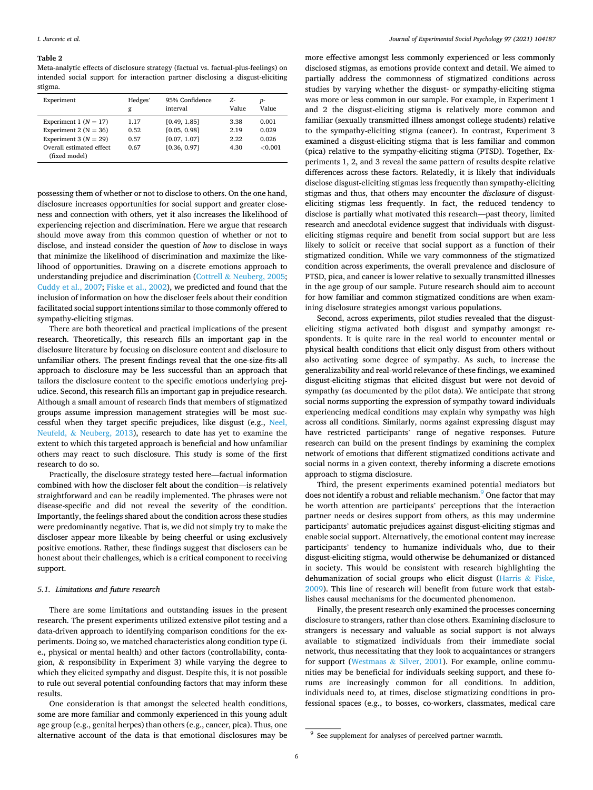#### <span id="page-5-0"></span>**Table 2**

Meta-analytic effects of disclosure strategy (factual vs. factual-plus-feelings) on intended social support for interaction partner disclosing a disgust-eliciting stigma.

| Experiment                                                             | Hedges'      | 95% Confidence               | 7.-          | $p-$             |
|------------------------------------------------------------------------|--------------|------------------------------|--------------|------------------|
|                                                                        | g            | interval                     | Value        | Value            |
| Experiment 1 ( $N = 17$ )                                              | 1.17         | [0.49, 1.85]                 | 3.38         | 0.001            |
| Experiment 2 ( $N = 36$ )                                              | 0.52         | [0.05, 0.98]                 | 2.19         | 0.029            |
| Experiment 3 ( $N = 29$ )<br>Overall estimated effect<br>(fixed model) | 0.57<br>0.67 | [0.07, 1.07]<br>[0.36, 0.97] | 2.22<br>4.30 | 0.026<br>< 0.001 |

possessing them of whether or not to disclose to others. On the one hand, disclosure increases opportunities for social support and greater closeness and connection with others, yet it also increases the likelihood of experiencing rejection and discrimination. Here we argue that research should move away from this common question of whether or not to disclose, and instead consider the question of *how* to disclose in ways that minimize the likelihood of discrimination and maximize the likelihood of opportunities. Drawing on a discrete emotions approach to understanding prejudice and discrimination (Cottrell  $\&$  [Neuberg, 2005](#page-6-0); [Cuddy et al., 2007; Fiske et al., 2002\)](#page-6-0), we predicted and found that the inclusion of information on how the discloser feels about their condition facilitated social support intentions similar to those commonly offered to sympathy-eliciting stigmas.

There are both theoretical and practical implications of the present research. Theoretically, this research fills an important gap in the disclosure literature by focusing on disclosure content and disclosure to unfamiliar others. The present findings reveal that the one-size-fits-all approach to disclosure may be less successful than an approach that tailors the disclosure content to the specific emotions underlying prejudice. Second, this research fills an important gap in prejudice research. Although a small amount of research finds that members of stigmatized groups assume impression management strategies will be most successful when they target specific prejudices, like disgust (e.g., [Neel,](#page-6-0)  Neufeld, & [Neuberg, 2013\)](#page-6-0), research to date has yet to examine the extent to which this targeted approach is beneficial and how unfamiliar others may react to such disclosure. This study is some of the first research to do so.

Practically, the disclosure strategy tested here—factual information combined with how the discloser felt about the condition—is relatively straightforward and can be readily implemented. The phrases were not disease-specific and did not reveal the severity of the condition. Importantly, the feelings shared about the condition across these studies were predominantly negative. That is, we did not simply try to make the discloser appear more likeable by being cheerful or using exclusively positive emotions. Rather, these findings suggest that disclosers can be honest about their challenges, which is a critical component to receiving support.

## *5.1. Limitations and future research*

There are some limitations and outstanding issues in the present research. The present experiments utilized extensive pilot testing and a data-driven approach to identifying comparison conditions for the experiments. Doing so, we matched characteristics along condition type (i. e., physical or mental health) and other factors (controllability, contagion, & responsibility in Experiment 3) while varying the degree to which they elicited sympathy and disgust. Despite this, it is not possible to rule out several potential confounding factors that may inform these results.

One consideration is that amongst the selected health conditions, some are more familiar and commonly experienced in this young adult age group (e.g., genital herpes) than others (e.g., cancer, pica). Thus, one alternative account of the data is that emotional disclosures may be more effective amongst less commonly experienced or less commonly disclosed stigmas, as emotions provide context and detail. We aimed to partially address the commonness of stigmatized conditions across studies by varying whether the disgust- or sympathy-eliciting stigma was more or less common in our sample. For example, in Experiment 1 and 2 the disgust-eliciting stigma is relatively more common and familiar (sexually transmitted illness amongst college students) relative to the sympathy-eliciting stigma (cancer). In contrast, Experiment 3 examined a disgust-eliciting stigma that is less familiar and common (pica) relative to the sympathy-eliciting stigma (PTSD). Together, Experiments 1, 2, and 3 reveal the same pattern of results despite relative differences across these factors. Relatedly, it is likely that individuals disclose disgust-eliciting stigmas less frequently than sympathy-eliciting stigmas and thus, that others may encounter the *disclosure* of disgusteliciting stigmas less frequently. In fact, the reduced tendency to disclose is partially what motivated this research—past theory, limited research and anecdotal evidence suggest that individuals with disgusteliciting stigmas require and benefit from social support but are less likely to solicit or receive that social support as a function of their stigmatized condition. While we vary commonness of the stigmatized condition across experiments, the overall prevalence and disclosure of PTSD, pica, and cancer is lower relative to sexually transmitted illnesses in the age group of our sample. Future research should aim to account for how familiar and common stigmatized conditions are when examining disclosure strategies amongst various populations.

Second, across experiments, pilot studies revealed that the disgusteliciting stigma activated both disgust and sympathy amongst respondents. It is quite rare in the real world to encounter mental or physical health conditions that elicit only disgust from others without also activating some degree of sympathy. As such, to increase the generalizability and real-world relevance of these findings, we examined disgust-eliciting stigmas that elicited disgust but were not devoid of sympathy (as documented by the pilot data). We anticipate that strong social norms supporting the expression of sympathy toward individuals experiencing medical conditions may explain why sympathy was high across all conditions. Similarly, norms against expressing disgust may have restricted participants' range of negative responses. Future research can build on the present findings by examining the complex network of emotions that different stigmatized conditions activate and social norms in a given context, thereby informing a discrete emotions approach to stigma disclosure.

Third, the present experiments examined potential mediators but does not identify a robust and reliable mechanism.<sup>9</sup> One factor that may be worth attention are participants' perceptions that the interaction partner needs or desires support from others, as this may undermine participants' automatic prejudices against disgust-eliciting stigmas and enable social support. Alternatively, the emotional content may increase participants' tendency to humanize individuals who, due to their disgust-eliciting stigma, would otherwise be dehumanized or distanced in society. This would be consistent with research highlighting the dehumanization of social groups who elicit disgust ([Harris](#page-6-0) & Fiske, [2009\)](#page-6-0). This line of research will benefit from future work that establishes causal mechanisms for the documented phenomenon.

Finally, the present research only examined the processes concerning disclosure to strangers, rather than close others. Examining disclosure to strangers is necessary and valuable as social support is not always available to stigmatized individuals from their immediate social network, thus necessitating that they look to acquaintances or strangers for support (Westmaas & [Silver, 2001\)](#page-7-0). For example, online communities may be beneficial for individuals seeking support, and these forums are increasingly common for all conditions. In addition, individuals need to, at times, disclose stigmatizing conditions in professional spaces (e.g., to bosses, co-workers, classmates, medical care

<sup>&</sup>lt;sup>9</sup> See supplement for analyses of perceived partner warmth.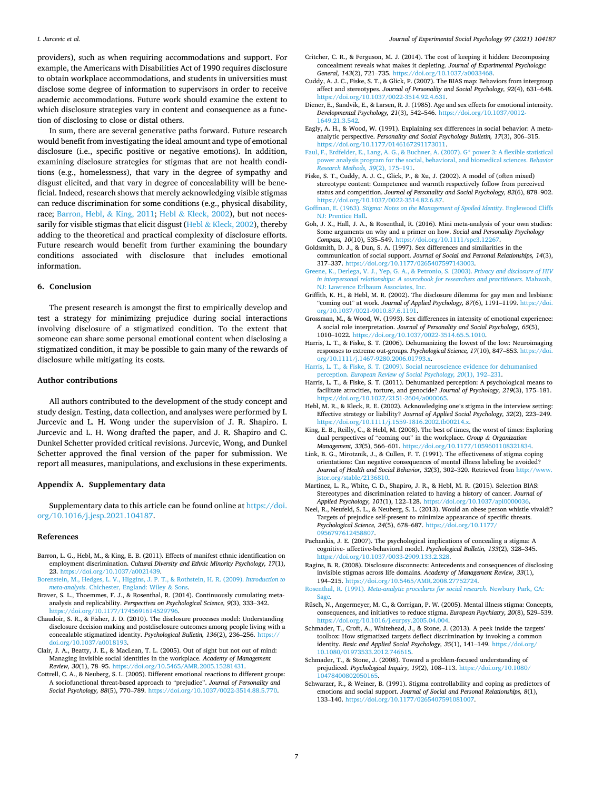#### <span id="page-6-0"></span>*I. Jurcevic et al.*

providers), such as when requiring accommodations and support. For example, the Americans with Disabilities Act of 1990 requires disclosure to obtain workplace accommodations, and students in universities must disclose some degree of information to supervisors in order to receive academic accommodations. Future work should examine the extent to which disclosure strategies vary in content and consequence as a function of disclosing to close or distal others.

In sum, there are several generative paths forward. Future research would benefit from investigating the ideal amount and type of emotional disclosure (i.e., specific positive or negative emotions). In addition, examining disclosure strategies for stigmas that are not health conditions (e.g., homelessness), that vary in the degree of sympathy and disgust elicited, and that vary in degree of concealability will be beneficial. Indeed, research shows that merely acknowledging visible stigmas can reduce discrimination for some conditions (e.g., physical disability, race; Barron, Hebl, & King, 2011; Hebl & Kleck, 2002), but not necessarily for visible stigmas that elicit disgust (Hebl  $\&$  Kleck, 2002), thereby adding to the theoretical and practical complexity of disclosure efforts. Future research would benefit from further examining the boundary conditions associated with disclosure that includes emotional information.

# **6. Conclusion**

The present research is amongst the first to empirically develop and test a strategy for minimizing prejudice during social interactions involving disclosure of a stigmatized condition. To the extent that someone can share some personal emotional content when disclosing a stigmatized condition, it may be possible to gain many of the rewards of disclosure while mitigating its costs.

#### **Author contributions**

All authors contributed to the development of the study concept and study design. Testing, data collection, and analyses were performed by I. Jurcevic and L. H. Wong under the supervision of J. R. Shapiro. I. Jurcevic and L. H. Wong drafted the paper, and J. R. Shapiro and C. Dunkel Schetter provided critical revisions. Jurcevic, Wong, and Dunkel Schetter approved the final version of the paper for submission. We report all measures, manipulations, and exclusions in these experiments.

#### **Appendix A. Supplementary data**

Supplementary data to this article can be found online at [https://doi.](https://doi.org/10.1016/j.jesp.2021.104187)  [org/10.1016/j.jesp.2021.104187.](https://doi.org/10.1016/j.jesp.2021.104187)

#### **References**

- Barron, L. G., Hebl, M., & King, E. B. (2011). Effects of manifest ethnic identification on employment discrimination. *Cultural Diversity and Ethnic Minority Psychology, 17*(1), 23. [https://doi.org/10.1037/a0021439.](https://doi.org/10.1037/a0021439)
- [Borenstein, M., Hedges, L. V., Higgins, J. P. T., & Rothstein, H. R. \(2009\).](http://refhub.elsevier.com/S0022-1031(21)00090-1/rf0015) *Introduction to meta-analysis*[. Chichester, England: Wiley](http://refhub.elsevier.com/S0022-1031(21)00090-1/rf0015) & Sons.
- Braver, S. L., Thoemmes, F. J., & Rosenthal, R. (2014). Continuously cumulating metaanalysis and replicability. *Perspectives on Psychological Science, 9*(3), 333–342. https://doi.org/10.1177/17456916145297
- Chaudoir, S. R., & Fisher, J. D. (2010). The disclosure processes model: Understanding disclosure decision making and postdisclosure outcomes among people living with a concealable stigmatized identity. *Psychological Bulletin, 136*(2), 236–256. [https://](https://doi.org/10.1037/a0018193)  [doi.org/10.1037/a0018193.](https://doi.org/10.1037/a0018193)
- Clair, J. A., Beatty, J. E., & MacLean, T. L. (2005). Out of sight but not out of mind: Managing invisible social identities in the workplace. *Academy of Management Review, 30*(1), 78–95. [https://doi.org/10.5465/AMR.2005.15281431.](https://doi.org/10.5465/AMR.2005.15281431)
- Cottrell, C. A., & Neuberg, S. L. (2005). Different emotional reactions to different groups: A sociofunctional threat-based approach to "prejudice". *Journal of Personality and Social Psychology, 88*(5), 770–789. <https://doi.org/10.1037/0022-3514.88.5.770>.
- Critcher, C. R., & Ferguson, M. J. (2014). The cost of keeping it hidden: Decomposing concealment reveals what makes it depleting. *Journal of Experimental Psychology: General, 143*(2), 721–735. [https://doi.org/10.1037/a0033468.](https://doi.org/10.1037/a0033468)
- Cuddy, A. J. C., Fiske, S. T., & Glick, P. (2007). The BIAS map: Behaviors from intergroup affect and stereotypes. *Journal of Personality and Social Psychology, 92*(4), 631–648. [https://doi.org/10.1037/0022-3514.92.4.631.](https://doi.org/10.1037/0022-3514.92.4.631)
- Diener, E., Sandvik, E., & Larsen, R. J. (1985). Age and sex effects for emotional intensity. *Developmental Psychology, 21*(3), 542–546. [https://doi.org/10.1037/0012-](https://doi.org/10.1037/0012-1649.21.3.542) [1649.21.3.542.](https://doi.org/10.1037/0012-1649.21.3.542)
- Eagly, A. H., & Wood, W. (1991). Explaining sex differences in social behavior: A metaanalytic perspective. *Personality and Social Psychology Bulletin, 17*(3), 306–315. [https://doi.org/10.1177/0146167291173011.](https://doi.org/10.1177/0146167291173011)
- [Faul, F., Erdfelder, E., Lang, A. G., & Buchner, A. \(2007\). G\\* power 3: A flexible statistical](http://refhub.elsevier.com/S0022-1031(21)00090-1/rf0060)  [power analysis program for the social, behavioral, and biomedical sciences.](http://refhub.elsevier.com/S0022-1031(21)00090-1/rf0060) *Behavior [Research Methods, 39](http://refhub.elsevier.com/S0022-1031(21)00090-1/rf0060)*(2), 175–191.
- Fiske, S. T., Cuddy, A. J. C., Glick, P., & Xu, J. (2002). A model of (often mixed) stereotype content: Competence and warmth respectively follow from perceived status and competition. *Journal of Personality and Social Psychology, 82*(6), 878–902. <https://doi.org/10.1037/0022-3514.82.6.87>.
- Goffman, E. (1963). *[Stigma: Notes on the Management of Spoiled Identity](http://refhub.elsevier.com/S0022-1031(21)00090-1/rf0071)*. Englewood Cliffs [NJ: Prentice Hall](http://refhub.elsevier.com/S0022-1031(21)00090-1/rf0071).
- Goh, J. X., Hall, J. A., & Rosenthal, R. (2016). Mini meta-analysis of your own studies: Some arguments on why and a primer on how. *Social and Personality Psychology Compass, 10*(10), 535–549. [https://doi.org/10.1111/spc3.12267.](https://doi.org/10.1111/spc3.12267)
- Goldsmith, D. J., & Dun, S. A. (1997). Sex differences and similarities in the communication of social support. *Journal of Social and Personal Relationships, 14*(3), 317–337. <https://doi.org/10.1177/0265407597143003>.
- [Greene, K., Derlega, V. J., Yep, G. A., & Petronio, S. \(2003\).](http://refhub.elsevier.com/S0022-1031(21)00090-1/rf0080) *Privacy and disclosure of HIV [in interpersonal relationships: A sourcebook for researchers and practitioners](http://refhub.elsevier.com/S0022-1031(21)00090-1/rf0080)*. Mahwah, [NJ: Lawrence Erlbaum Associates, Inc.](http://refhub.elsevier.com/S0022-1031(21)00090-1/rf0080)
- Griffith, K. H., & Hebl, M. R. (2002). The disclosure dilemma for gay men and lesbians: "coming out" at work. *Journal of Applied Psychology, 87*(6), 1191–1199. [https://doi.](https://doi.org/10.1037/0021-9010.87.6.1191)  [org/10.1037/0021-9010.87.6.1191.](https://doi.org/10.1037/0021-9010.87.6.1191)
- Grossman, M., & Wood, W. (1993). Sex differences in intensity of emotional experience: A social role interpretation. *Journal of Personality and Social Psychology, 65*(5), 1010–1022.<https://doi.org/10.1037/0022-3514.65.5.1010>.
- Harris, L. T., & Fiske, S. T. (2006). Dehumanizing the lowest of the low: Neuroimaging responses to extreme out-groups. *Psychological Science, 17*(10), 847–853. [https://doi.](https://doi.org/10.1111/j.1467-9280.2006.01793.x)  [org/10.1111/j.1467-9280.2006.01793.x.](https://doi.org/10.1111/j.1467-9280.2006.01793.x)
- [Harris, L. T., & Fiske, S. T. \(2009\). Social neuroscience evidence for dehumanised](http://refhub.elsevier.com/S0022-1031(21)00090-1/optASNYAjXtRe) perception. *[European Review of Social Psychology, 20](http://refhub.elsevier.com/S0022-1031(21)00090-1/optASNYAjXtRe)*(1), 192–231.
- Harris, L. T., & Fiske, S. T. (2011). Dehumanized perception: A psychological means to facilitate atrocities, torture, and genocide? *Journal of Psychology, 219*(3), 175–181. <https://doi.org/10.1027/2151-2604/a000065>.
- Hebl, M. R., & Kleck, R. E. (2002). Acknowledging one's stigma in the interview setting: Effective strategy or liability? *Journal of Applied Social Psychology, 32*(2), 223–249. <https://doi.org/10.1111/j.1559-1816.2002.tb00214.x>.
- King, E. B., Reilly, C., & Hebl, M. (2008). The best of times, the worst of times: Exploring dual perspectives of "coming out" in the workplace. *Group & Organization Management, 33*(5), 566–601. [https://doi.org/10.1177/1059601108321834.](https://doi.org/10.1177/1059601108321834)
- Link, B. G., Mirotznik, J., & Cullen, F. T. (1991). The effectiveness of stigma coping orientations: Can negative consequences of mental illness labeling be avoided? *Journal of Health and Social Behavior, 32*(3), 302–320. Retrieved from [http://www.](http://www.jstor.org/stable/2136810) [jstor.org/stable/2136810](http://www.jstor.org/stable/2136810).
- Martinez, L. R., White, C. D., Shapiro, J. R., & Hebl, M. R. (2015). Selection BIAS: Stereotypes and discrimination related to having a history of cancer. *Journal of Applied Psychology, 101*(1), 122–128. <https://doi.org/10.1037/apl0000036>.
- Neel, R., Neufeld, S. L., & Neuberg, S. L. (2013). Would an obese person whistle vivaldi? Targets of prejudice self-present to minimize appearance of specific threats. *Psychological Science, 24*(5), 678–687. [https://doi.org/10.1177/](https://doi.org/10.1177/0956797612458807)  [0956797612458807.](https://doi.org/10.1177/0956797612458807)
- Pachankis, J. E. (2007). The psychological implications of concealing a stigma: A cognitive- affective-behavioral model. *Psychological Bulletin, 133*(2), 328–345. [https://doi.org/10.1037/0033-2909.133.2.328.](https://doi.org/10.1037/0033-2909.133.2.328)
- Ragins, B. R. (2008). Disclosure disconnects: Antecedents and consequences of disclosing invisible stigmas across life domains. *Academy of Management Review, 33*(1), 194–215. [https://doi.org/10.5465/AMR.2008.27752724.](https://doi.org/10.5465/AMR.2008.27752724)
- Rosenthal, R. (1991). *[Meta-analytic procedures for social research](http://refhub.elsevier.com/S0022-1031(21)00090-1/rf0150)*. Newbury Park, CA: [Sage.](http://refhub.elsevier.com/S0022-1031(21)00090-1/rf0150)
- Rüsch, N., Angermeyer, M. C., & Corrigan, P. W. (2005). Mental illness stigma: Concepts, consequences, and initiatives to reduce stigma. *European Psychiatry, 20*(8), 529–539. <https://doi.org/10.1016/j.eurpsy.2005.04.004>.
- Schmader, T., Croft, A., Whitehead, J., & Stone, J. (2013). A peek inside the targets' toolbox: How stigmatized targets deflect discrimination by invoking a common identity. *Basic and Applied Social Psychology, 35*(1), 141–149. [https://doi.org/](https://doi.org/10.1080/01973533.2012.746615)  [10.1080/01973533.2012.746615](https://doi.org/10.1080/01973533.2012.746615).
- Schmader, T., & Stone, J. (2008). Toward a problem-focused understanding of prejudiced. *Psychological Inquiry, 19*(2), 108–113. [https://doi.org/10.1080/](https://doi.org/10.1080/10478400802050165) [10478400802050165.](https://doi.org/10.1080/10478400802050165)
- Schwarzer, R., & Weiner, B. (1991). Stigma controllability and coping as predictors of emotions and social support. *Journal of Social and Personal Relationships, 8*(1), 133–140. <https://doi.org/10.1177/0265407591081007>.